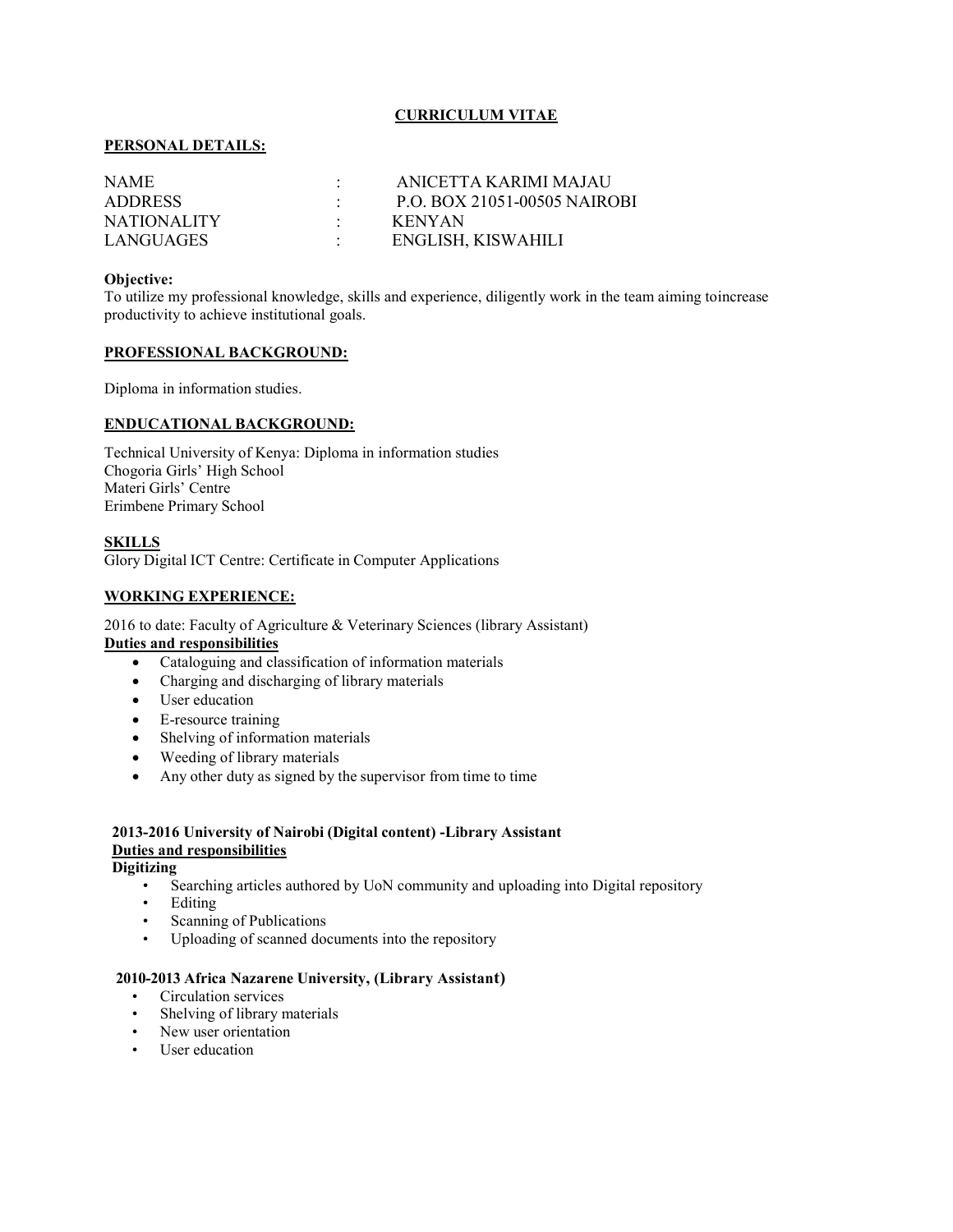## CURRICULUM VITAE

## PERSONAL DETAILS:

| NAME.              | ANICETTA KARIMI MAJAU               |
|--------------------|-------------------------------------|
| <b>ADDRESS</b>     | <b>P.O. BOX 21051-00505 NAIROBI</b> |
| <b>NATIONALITY</b> | <b>KENYAN</b>                       |
| LANGUAGES          | ENGLISH, KISWAHILI                  |

#### Objective:

To utilize my professional knowledge, skills and experience, diligently work in the team aiming to increase productivity to achieve institutional goals.

### PROFESSIONAL BACKGROUND:

Diploma in information studies.

## ENDUCATIONAL BACKGROUND:

Technical University of Kenya: Diploma in information studies Chogoria Girls' High School Materi Girls' Centre Erimbene Primary School

### **SKILLS**

Glory Digital ICT Centre: Certificate in Computer Applications

## WORKING EXPERIENCE:

2016 to date: Faculty of Agriculture & Veterinary Sciences (library Assistant) Duties and responsibilities

- Cataloguing and classification of information materials
- Charging and discharging of library materials
- User education
- E-resource training
- Shelving of information materials
- Weeding of library materials
- Any other duty as signed by the supervisor from time to time

# 2013-2016 University of Nairobi (Digital content) -Library Assistant Duties and responsibilities

# **Digitizing**

- Searching articles authored by UoN community and uploading into Digital repository
- Editing
- Scanning of Publications
- Uploading of scanned documents into the repository

#### 2010-2013 Africa Nazarene University, (Library Assistant)

- Circulation services
- Shelving of library materials
- New user orientation
- User education